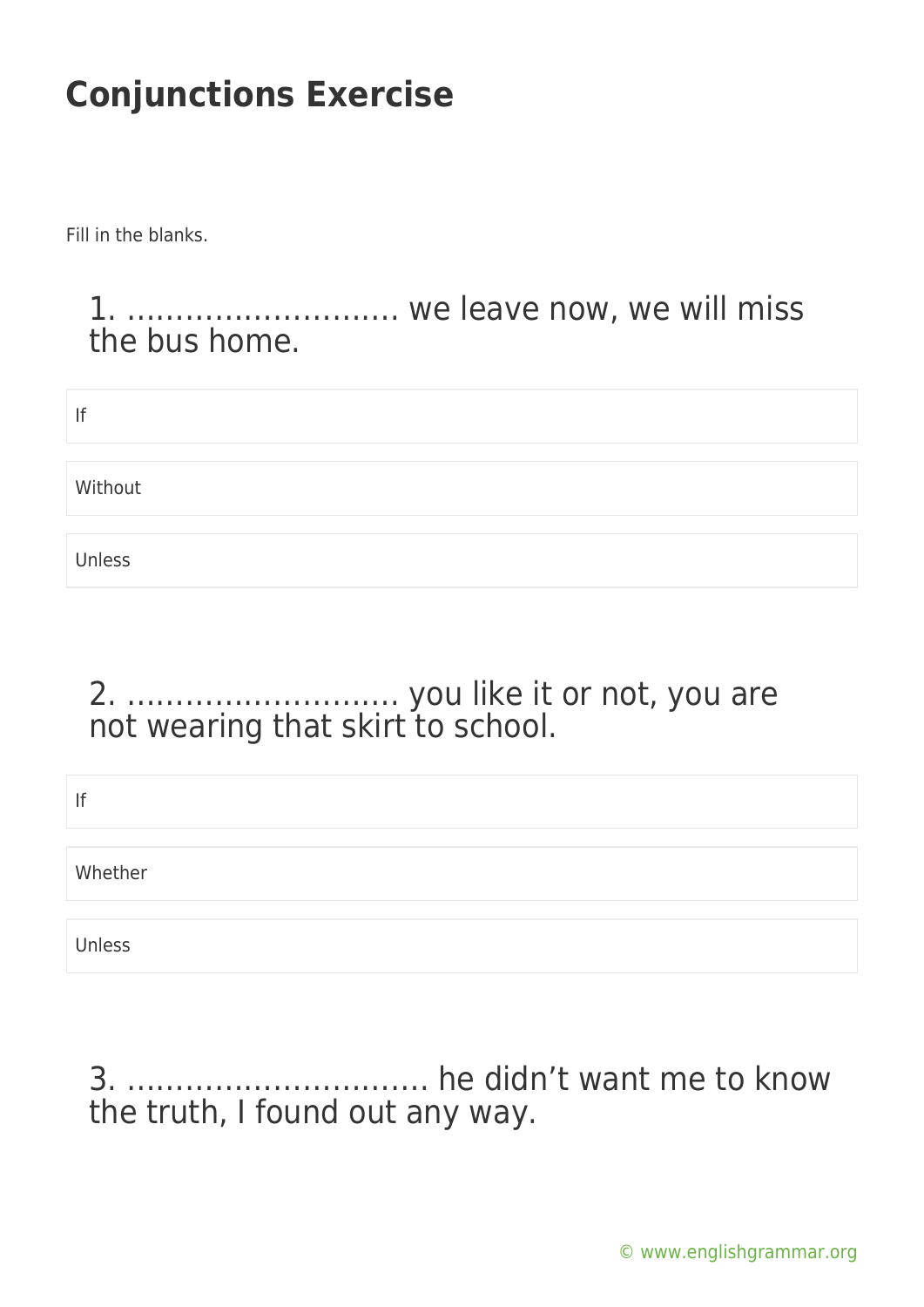Fill in the blanks.

#### 1. ………………………. we leave now, we will miss the bus home.

| lf      |  |
|---------|--|
| Without |  |
| Unless  |  |

### 2. ………………………. you like it or not, you are not wearing that skirt to school.

| If      |  |  |  |
|---------|--|--|--|
| Whether |  |  |  |
| Unless  |  |  |  |

### 3. …………………………. he didn't want me to know the truth, I found out any way.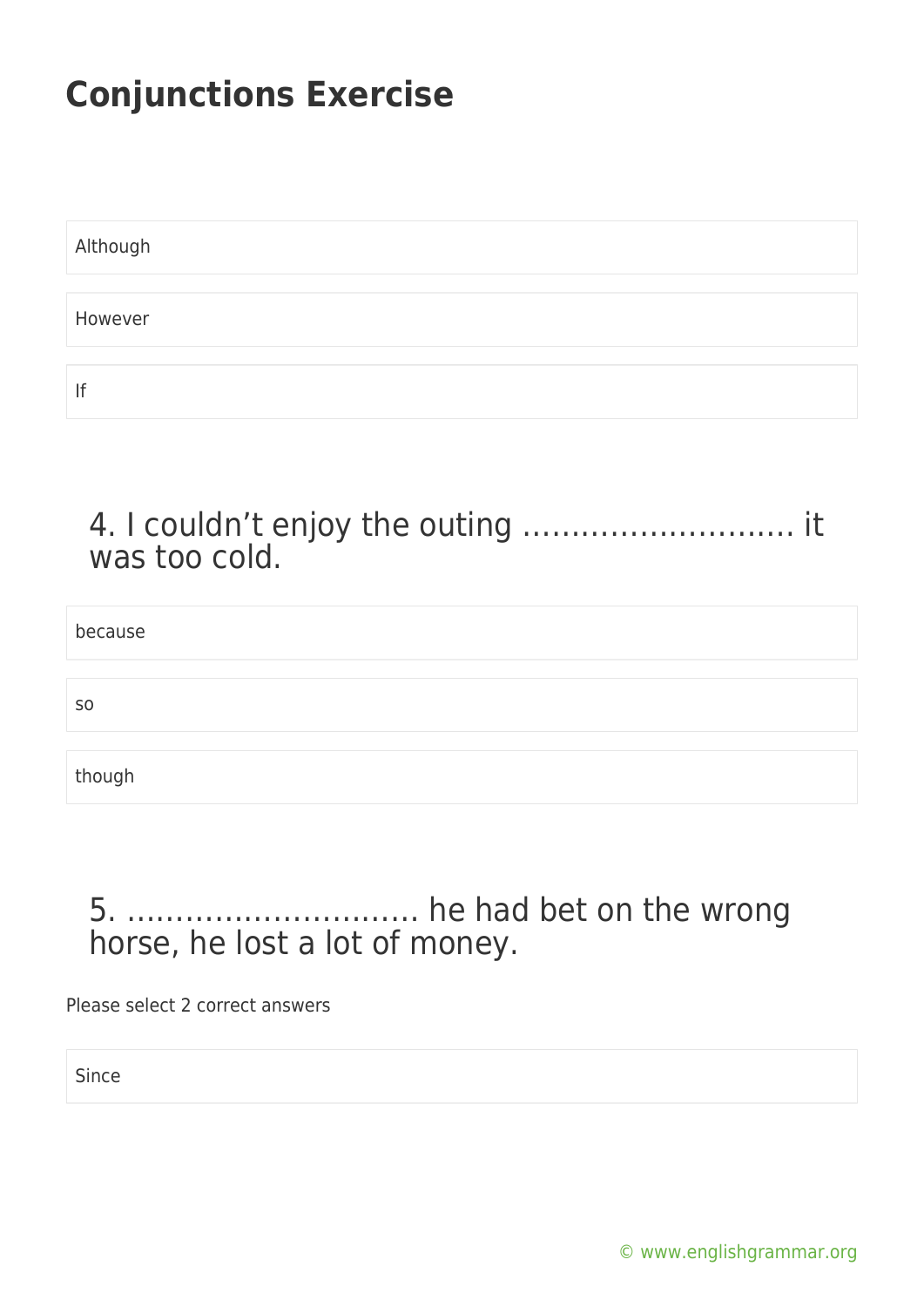| Although |  |  |
|----------|--|--|
|          |  |  |
| However  |  |  |
|          |  |  |
| If       |  |  |

4. I couldn't enjoy the outing ………………………. it was too cold.

because

so

though

#### 5. ………………………… he had bet on the wrong horse, he lost a lot of money.

Please select 2 correct answers

Since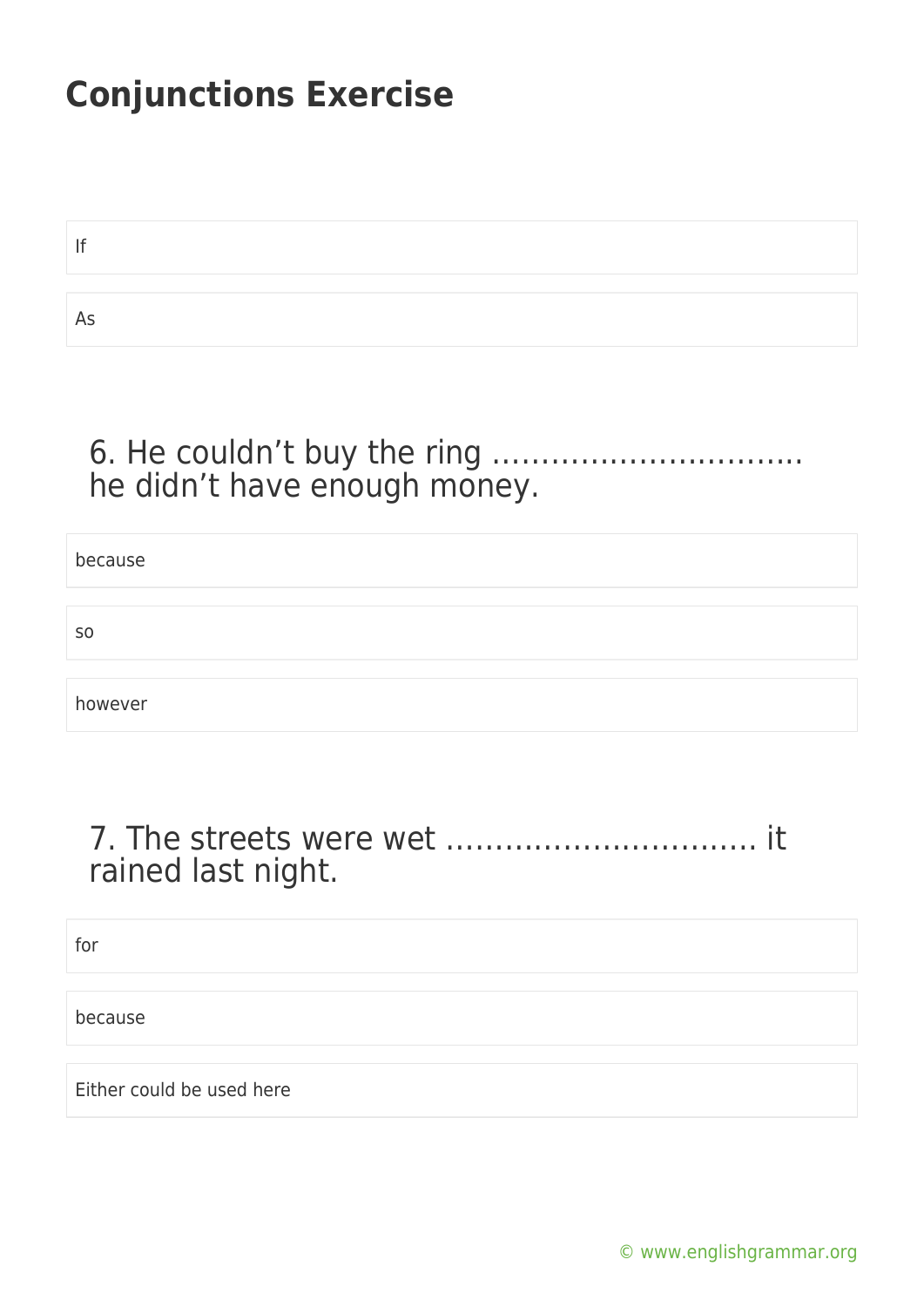If As

#### 6. He couldn't buy the ring ………………………….. he didn't have enough money.

| because        |  |
|----------------|--|
|                |  |
| S <sub>0</sub> |  |
|                |  |
| however        |  |

#### 7. The streets were wet ………………………….. it rained last night.

for

because

Either could be used here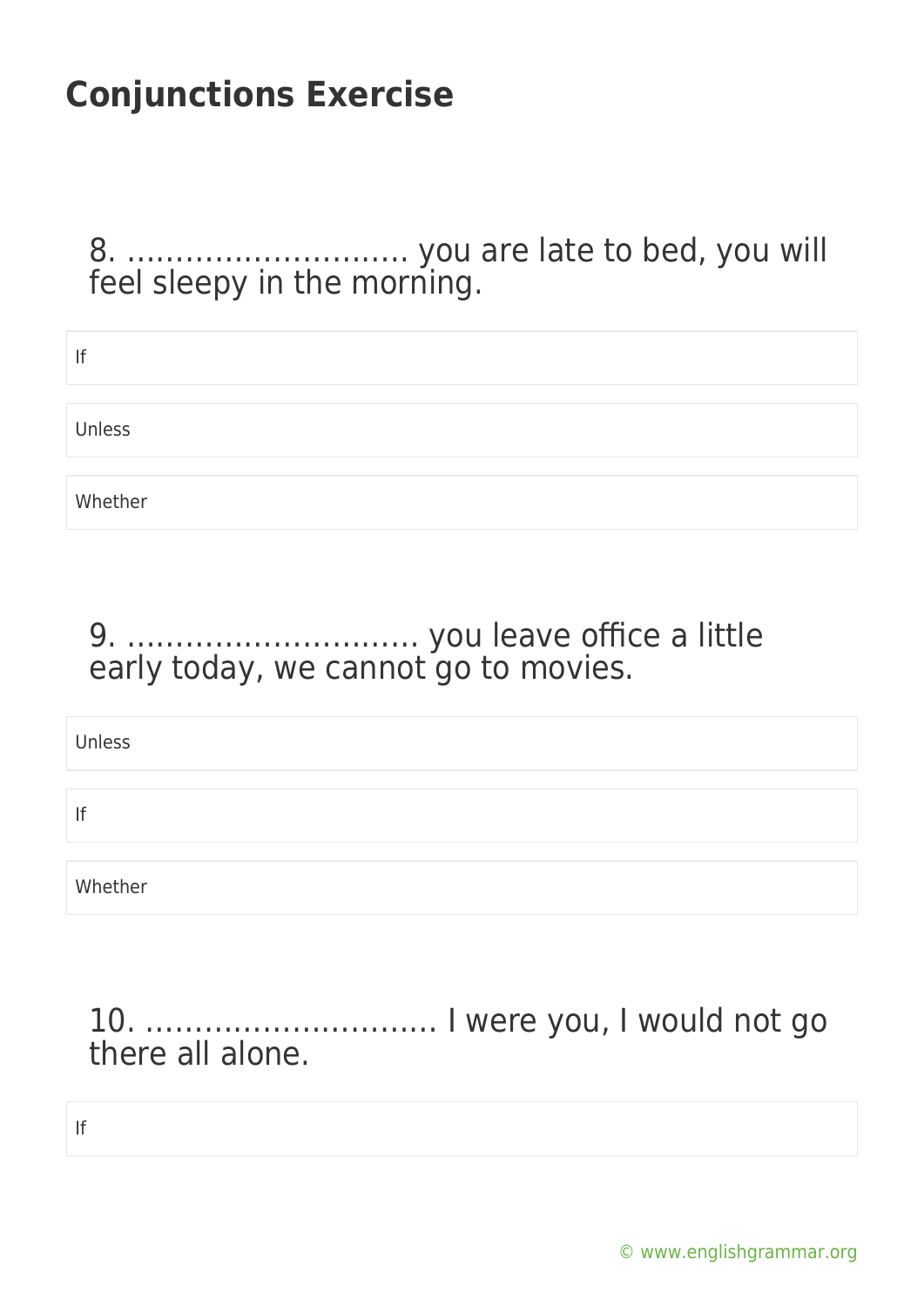8. ……………………….. you are late to bed, you will feel sleepy in the morning.

| lf      |  |
|---------|--|
|         |  |
| Unless  |  |
|         |  |
| Whether |  |

#### 9. ………………………… you leave office a little early today, we cannot go to movies.

Unless

If

Whether

### 10. ………………………… I were you, I would not go there all alone.

If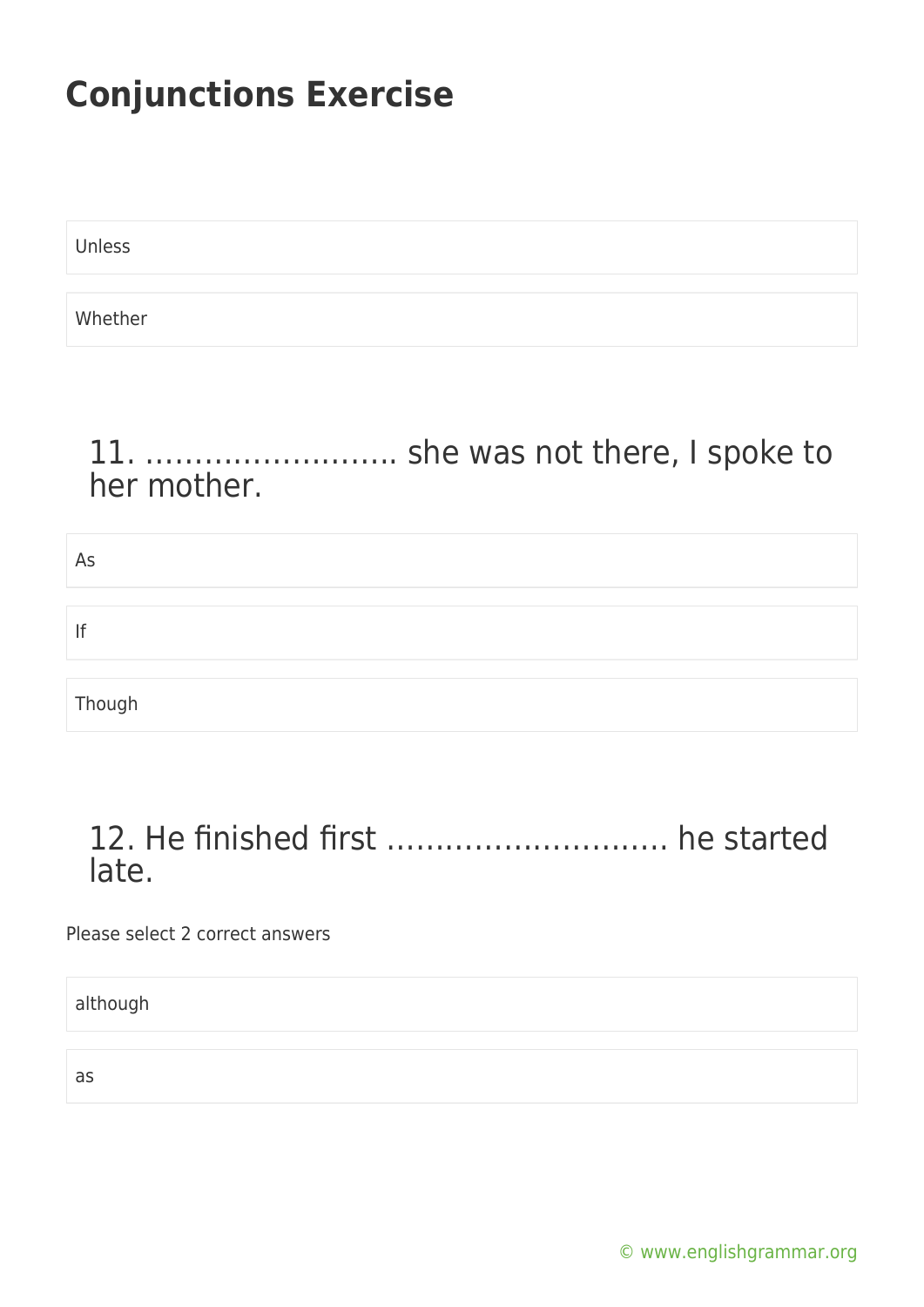Unless

Whether

### 11. …………………….. she was not there, I spoke to her mother.

| As     |  |  |  |
|--------|--|--|--|
|        |  |  |  |
| lf     |  |  |  |
|        |  |  |  |
| Though |  |  |  |

### 12. He finished first ……………………….. he started late.

Please select 2 correct answers

although

as

[© www.englishgrammar.org](https://www.englishgrammar.org/)